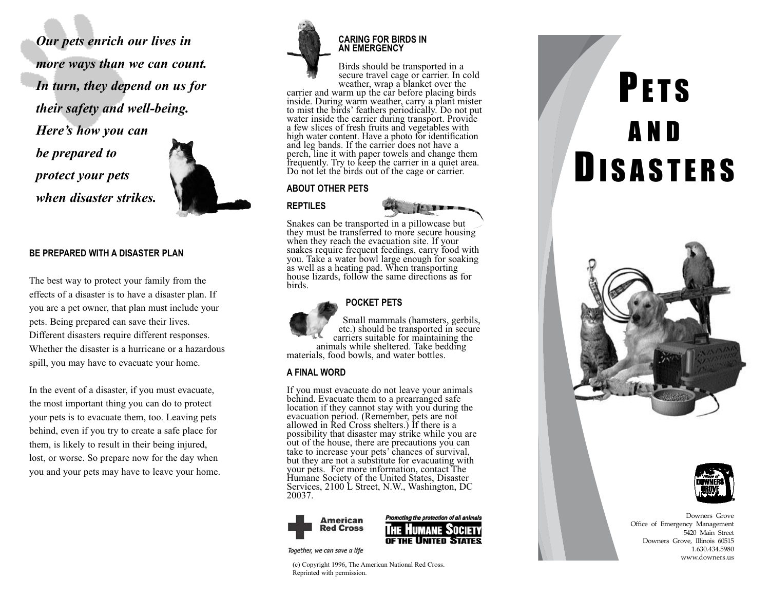*Our pets enrich our lives in more ways than we can count. In turn, they depend on us for their safety and well-being. Here's how you can be prepared to protect your pets when disaster strikes.*

#### **BE PREPARED WITH A DISASTER PLAN**

The best way to protect your family from the effects of a disaster is to have a disaster plan. If you are a pet owner, that plan must include your pets. Being prepared can save their lives. Different disasters require different responses. Whether the disaster is a hurricane or a hazardous spill, you may have to evacuate your home.

In the event of a disaster, if you must evacuate, the most important thing you can do to protect your pets is to evacuate them, too. Leaving pets behind, even if you try to create a safe place for them, is likely to result in their being injured, lost, or worse. So prepare now for the day when you and your pets may have to leave your home.



#### **CARING FOR BIRDS IN AN EMERGENCY**

Birds should be transported in a<br>secure travel cage or carrier. In cold<br>weather, wrap a blanket over the<br>carrier and warm up the car before placing birds<br>inside. During warm weather, carry a plant mister<br>to mist the birds' perch, line it with paper towels and change them frequently. Try to keep the carrier in a quiet area. Do not let the birds out of the cage or carrier.

#### **ABOUT OTHER PETS**

# **REPTILES**



Snakes can be transported in a pillowcase but they must be transferred to more secure housing when they reach the evacuation site. If your snakes require frequent feedings, carry food with you. Take a water bowl large enough for soaking as well as a heating pad. When transporting house lizards, follow the same directions as for birds.



**POCKET PETS**

Small mammals (hamsters, gerbils, etc.) should be transported in secure carriers suitable for maintaining the animals while sheltered. Take bedding materials, food bowls, and water bottles.

## **A FINAL WORD**

If you must evacuate do not leave your animals<br>behind. Evacuate them to a prearranged safe<br>location if they cannot stay with you during the<br>evacuation period. (Remember, pets are not<br>allowed in Red Cross shelters.) If ther Humane Society of the United States, Disaster Services, 2100 L Street, N.W., Washington, DC 20037.





Together, we can save a life

(c) Copyright 1996, The American National Red Cross. Reprinted with permission.

# **PETS** AND **DISASTERS**





Downers Grove Office of Emergency Management 5420 Main Street Downers Grove, Illinois 60515 1.630.434.5980 www.downers.us